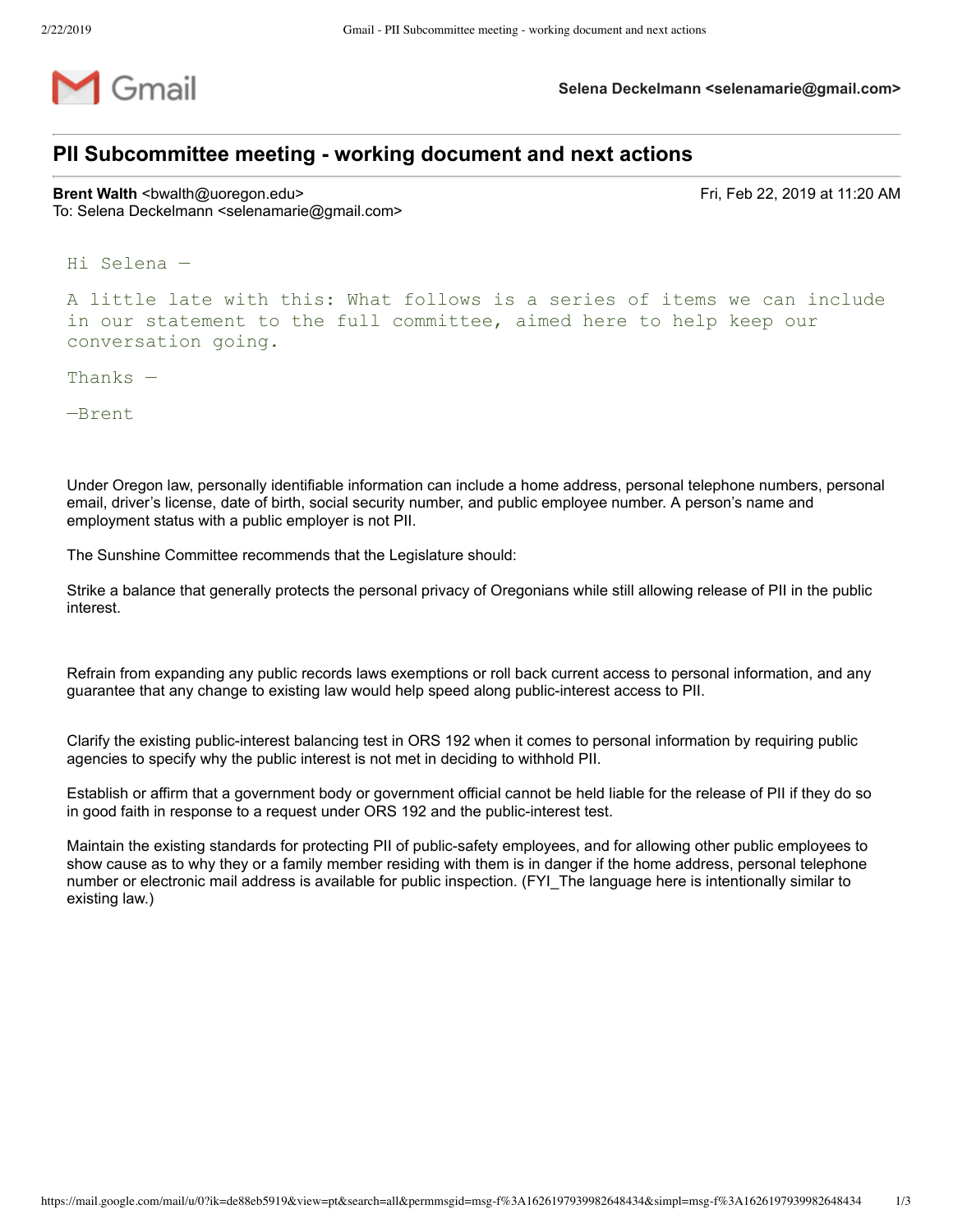

**Selena Deckelmann <selenamarie@gmail.com>**

## **PII Subcommittee meeting working document and next actions**

**Brent Walth** <bwalth@uoregon.edu> **Fri, Feb 22, 2019 at 11:20 AM** To: Selena Deckelmann <selenamarie@gmail.com>

Hi Selena —

A little late with this: What follows is a series of items we can include in our statement to the full committee, aimed here to help keep our conversation going.

Thanks —

—Brent

Under Oregon law, personally identifiable information can include a home address, personal telephone numbers, personal email, driver's license, date of birth, social security number, and public employee number. A person's name and employment status with a public employer is not PII.

The Sunshine Committee recommends that the Legislature should:

Strike a balance that generally protects the personal privacy of Oregonians while still allowing release of PII in the public interest.

Refrain from expanding any public records laws exemptions or roll back current access to personal information, and any guarantee that any change to existing law would help speed along public-interest access to PII.

Clarify the existing public-interest balancing test in ORS 192 when it comes to personal information by requiring public agencies to specify why the public interest is not met in deciding to withhold PII.

Establish or affirm that a government body or government official cannot be held liable for the release of PII if they do so in good faith in response to a request under ORS 192 and the public-interest test.

Maintain the existing standards for protecting PII of public-safety employees, and for allowing other public employees to show cause as to why they or a family member residing with them is in danger if the home address, personal telephone number or electronic mail address is available for public inspection. (FYI\_The language here is intentionally similar to existing law.)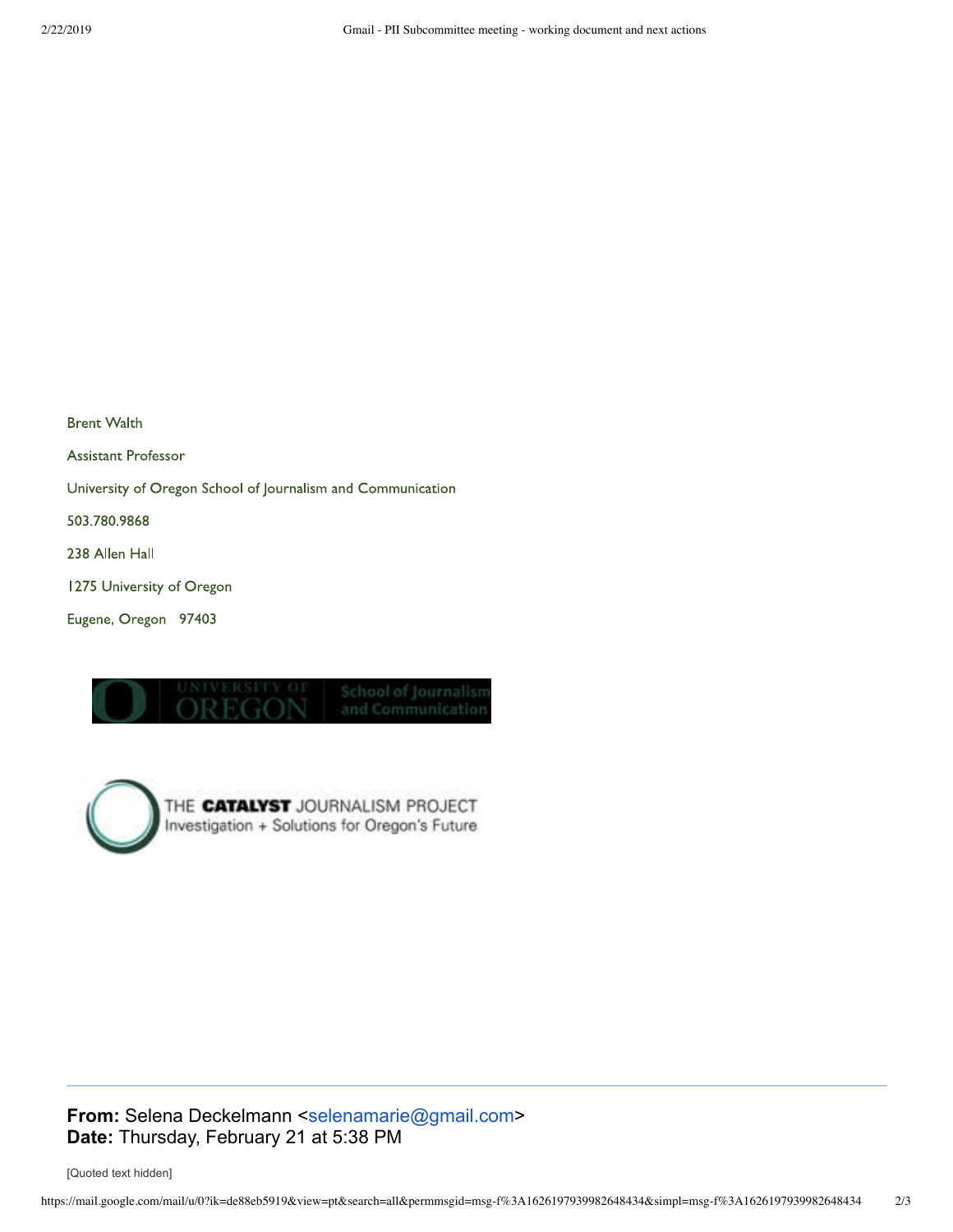**Brent Walth Assistant Professor** University of Oregon School of Journalism and Communication 503.780.9868 238 Allen Hall 1275 University of Oregon Eugene, Oregon 97403





**From:** Selena Deckelmann <selenamarie@gmail.com> **Date:** Thursday, February 21 at 5:38 PM

[Quoted text hidden]